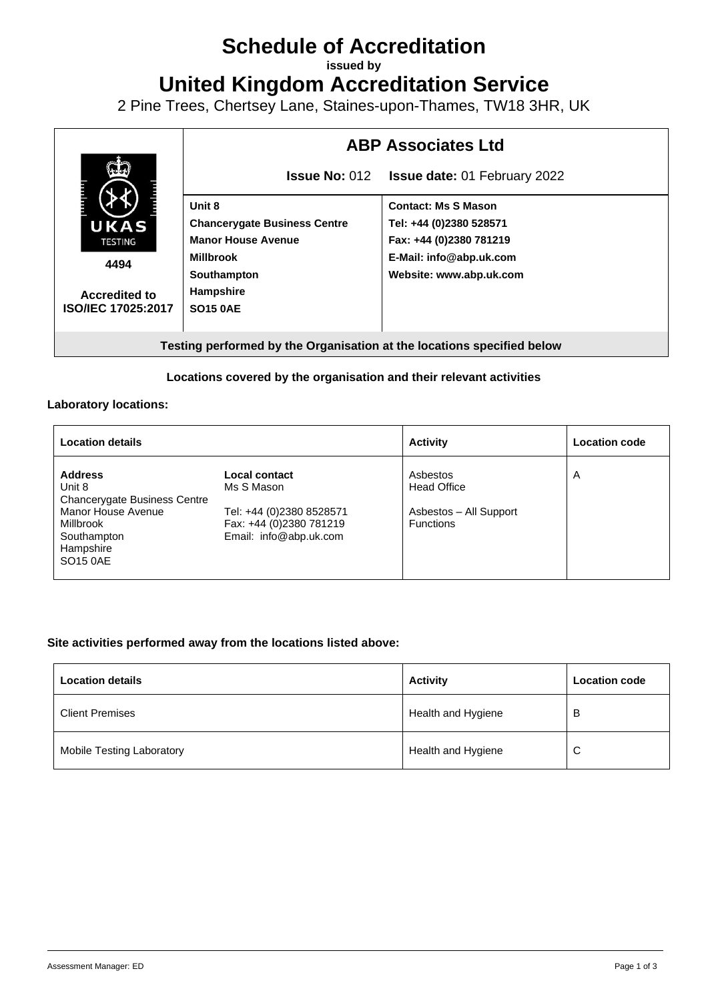# **Schedule of Accreditation**

**issued by**

**United Kingdom Accreditation Service**

2 Pine Trees, Chertsey Lane, Staines-upon-Thames, TW18 3HR, UK



### **Locations covered by the organisation and their relevant activities**

#### **Laboratory locations:**

| <b>Location details</b>                                                             |                                                                               | <b>Activity</b>                            | <b>Location code</b> |
|-------------------------------------------------------------------------------------|-------------------------------------------------------------------------------|--------------------------------------------|----------------------|
| <b>Address</b><br>Unit 8<br><b>Chancerygate Business Centre</b>                     | Local contact<br>Ms S Mason                                                   | Asbestos<br><b>Head Office</b>             | A                    |
| Manor House Avenue<br>Millbrook<br>Southampton<br>Hampshire<br>SO <sub>15</sub> 0AE | Tel: +44 (0)2380 8528571<br>Fax: +44 (0)2380 781219<br>Email: info@abp.uk.com | Asbestos - All Support<br><b>Functions</b> |                      |

#### **Site activities performed away from the locations listed above:**

| <b>Location details</b>          | <b>Activity</b>    | <b>Location code</b> |
|----------------------------------|--------------------|----------------------|
| <b>Client Premises</b>           | Health and Hygiene | B                    |
| <b>Mobile Testing Laboratory</b> | Health and Hygiene | $\sim$<br>◡          |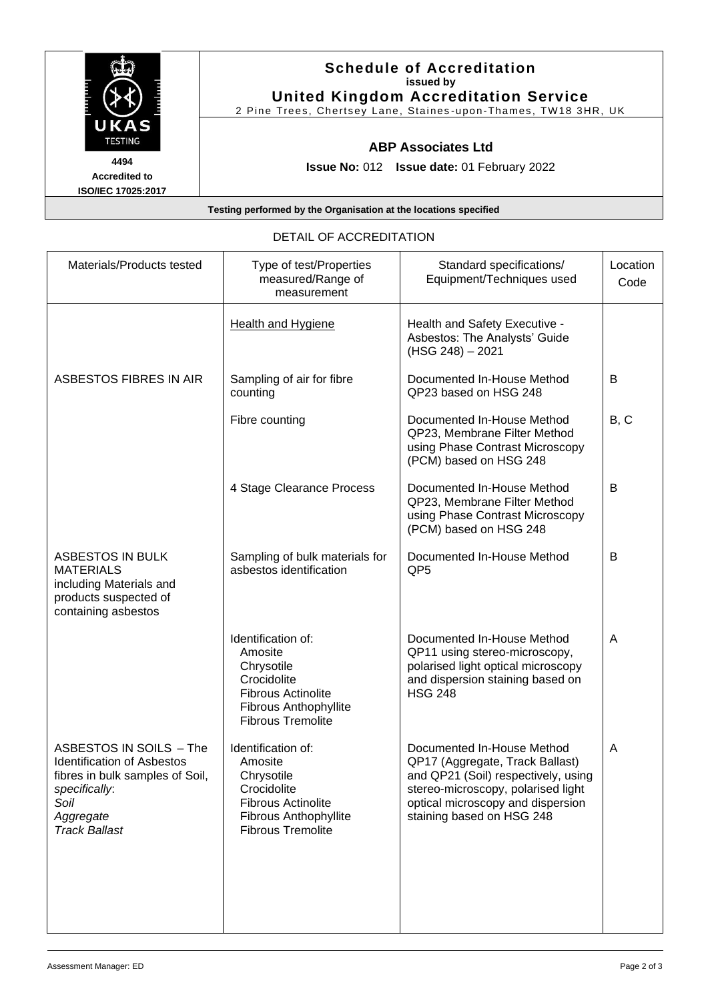

## **Schedule of Accreditation issued by United Kingdom Accreditation Service**

2 Pine Trees, Chertsey Lane, Staines -upon-Thames, TW18 3HR, UK

## **ABP Associates Ltd**

**Issue No:** 012 **Issue date:** 01 February 2022

**Accredited to ISO/IEC 17025:2017**

## **Testing performed by the Organisation at the locations specified**

### DETAIL OF ACCREDITATION

| Materials/Products tested                                                                                                                                            | Type of test/Properties<br>measured/Range of<br>measurement                                                                                  | Standard specifications/<br>Equipment/Techniques used                                                                                                                                                        | Location<br>Code |
|----------------------------------------------------------------------------------------------------------------------------------------------------------------------|----------------------------------------------------------------------------------------------------------------------------------------------|--------------------------------------------------------------------------------------------------------------------------------------------------------------------------------------------------------------|------------------|
|                                                                                                                                                                      | <b>Health and Hygiene</b>                                                                                                                    | Health and Safety Executive -<br>Asbestos: The Analysts' Guide<br>(HSG 248) - 2021                                                                                                                           |                  |
| ASBESTOS FIBRES IN AIR                                                                                                                                               | Sampling of air for fibre<br>counting                                                                                                        | Documented In-House Method<br>QP23 based on HSG 248                                                                                                                                                          | B                |
|                                                                                                                                                                      | Fibre counting                                                                                                                               | Documented In-House Method<br>QP23, Membrane Filter Method<br>using Phase Contrast Microscopy<br>(PCM) based on HSG 248                                                                                      | B, C             |
|                                                                                                                                                                      | 4 Stage Clearance Process                                                                                                                    | Documented In-House Method<br>QP23, Membrane Filter Method<br>using Phase Contrast Microscopy<br>(PCM) based on HSG 248                                                                                      | B                |
| <b>ASBESTOS IN BULK</b><br><b>MATERIALS</b><br>including Materials and<br>products suspected of<br>containing asbestos                                               | Sampling of bulk materials for<br>asbestos identification                                                                                    | Documented In-House Method<br>QP <sub>5</sub>                                                                                                                                                                | B                |
|                                                                                                                                                                      | Identification of:<br>Amosite<br>Chrysotile<br>Crocidolite<br><b>Fibrous Actinolite</b><br>Fibrous Anthophyllite<br><b>Fibrous Tremolite</b> | Documented In-House Method<br>QP11 using stereo-microscopy,<br>polarised light optical microscopy<br>and dispersion staining based on<br><b>HSG 248</b>                                                      | A                |
| <b>ASBESTOS IN SOILS - The</b><br><b>Identification of Asbestos</b><br>fibres in bulk samples of Soil,<br>specifically:<br>Soil<br>Aggregate<br><b>Track Ballast</b> | Identification of:<br>Amosite<br>Chrysotile<br>Crocidolite<br><b>Fibrous Actinolite</b><br>Fibrous Anthophyllite<br><b>Fibrous Tremolite</b> | Documented In-House Method<br>QP17 (Aggregate, Track Ballast)<br>and QP21 (Soil) respectively, using<br>stereo-microscopy, polarised light<br>optical microscopy and dispersion<br>staining based on HSG 248 | A                |